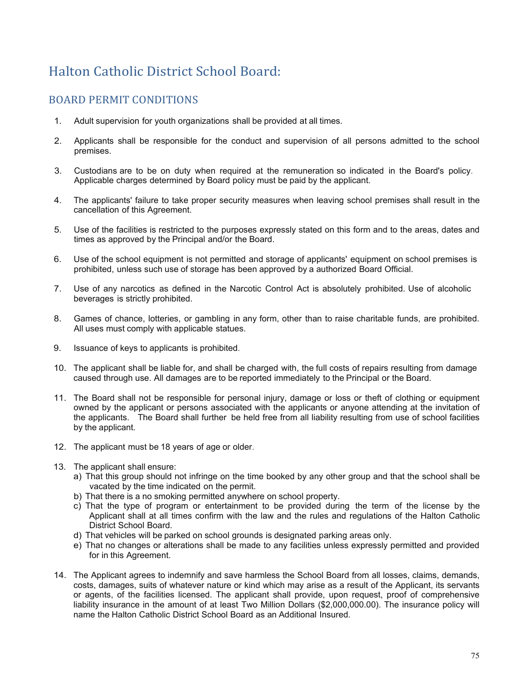## Halton Catholic District School Board:

## BOARD PERMIT CONDITIONS

- 1. Adult supervision for youth organizations shall be provided at all times.
- 2. Applicants shall be responsible for the conduct and supervision of all persons admitted to the school premises.
- 3. Custodians are to be on duty when required at the remuneration so indicated in the Board's policy. Applicable charges determined by Board policy must be paid by the applicant.
- 4. The applicants' failure to take proper security measures when leaving school premises shall result in the cancellation of this Agreement.
- 5. Use of the facilities is restricted to the purposes expressly stated on this form and to the areas, dates and times as approved by the Principal and/or the Board.
- 6. Use of the school equipment is not permitted and storage of applicants' equipment on school premises is prohibited, unless such use of storage has been approved by a authorized Board Official.
- 7. Use of any narcotics as defined in the Narcotic Control Act is absolutely prohibited. Use of alcoholic beverages is strictly prohibited.
- 8. Games of chance, lotteries, or gambling in any form, other than to raise charitable funds, are prohibited. All uses must comply with applicable statues.
- 9. Issuance of keys to applicants is prohibited.
- 10. The applicant shall be liable for, and shall be charged with, the full costs of repairs resulting from damage caused through use. All damages are to be reported immediately to the Principal or the Board.
- 11. The Board shall not be responsible for personal injury, damage or loss or theft of clothing or equipment owned by the applicant or persons associated with the applicants or anyone attending at the invitation of the applicants. The Board shall further be held free from all liability resulting from use of school facilities by the applicant.
- 12. The applicant must be 18 years of age or older.
- 13. The applicant shall ensure:
	- a) That this group should not infringe on the time booked by any other group and that the school shall be vacated by the time indicated on the permit.
	- b) That there is a no smoking permitted anywhere on school property.
	- c) That the type of program or entertainment to be provided during the term of the license by the Applicant shall at all times confirm with the law and the rules and regulations of the Halton Catholic District School Board.
	- d) That vehicles will be parked on school grounds is designated parking areas only.
	- e) That no changes or alterations shall be made to any facilities unless expressly permitted and provided for in this Agreement.
- 14. The Applicant agrees to indemnify and save harmless the School Board from all losses, claims, demands, costs, damages, suits of whatever nature or kind which may arise as a result of the Applicant, its servants or agents, of the facilities licensed. The applicant shall provide, upon request, proof of comprehensive liability insurance in the amount of at least Two Million Dollars (\$2,000,000.00). The insurance policy will name the Halton Catholic District School Board as an Additional Insured.